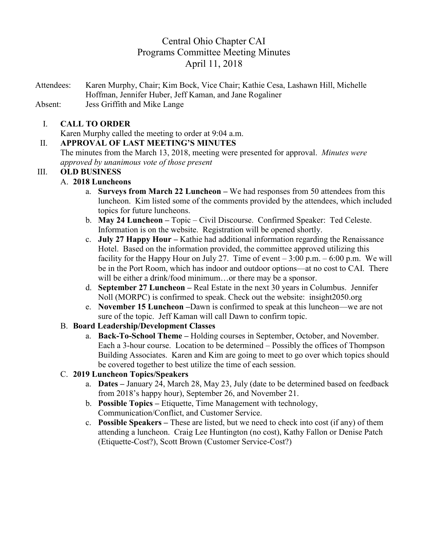# Central Ohio Chapter CAI Programs Committee Meeting Minutes April 11, 2018

Attendees: Karen Murphy, Chair; Kim Bock, Vice Chair; Kathie Cesa, Lashawn Hill, Michelle Hoffman, Jennifer Huber, Jeff Kaman, and Jane Rogaliner Absent: Jess Griffith and Mike Lange

#### I. **CALL TO ORDER**

Karen Murphy called the meeting to order at 9:04 a.m.

#### II. **APPROVAL OF LAST MEETING'S MINUTES**

The minutes from the March 13, 2018, meeting were presented for approval. *Minutes were approved by unanimous vote of those present*

# III. **OLD BUSINESS**

- A. **2018 Luncheons** 
	- a. **Surveys from March 22 Luncheon –** We had responses from 50 attendees from this luncheon. Kim listed some of the comments provided by the attendees, which included topics for future luncheons.
	- b. **May 24 Luncheon –** Topic Civil Discourse.Confirmed Speaker: Ted Celeste. Information is on the website. Registration will be opened shortly.
	- c. **July 27 Happy Hour –** Kathie had additional information regarding the Renaissance Hotel. Based on the information provided, the committee approved utilizing this facility for the Happy Hour on July 27. Time of event  $-3:00$  p.m.  $-6:00$  p.m. We will be in the Port Room, which has indoor and outdoor options—at no cost to CAI. There will be either a drink/food minimum...or there may be a sponsor.
	- d. **September 27 Luncheon –** Real Estate in the next 30 years in Columbus. Jennifer Noll (MORPC) is confirmed to speak. Check out the website: insight2050.org
	- e. **November 15 Luncheon –**Dawn is confirmed to speak at this luncheon—we are not sure of the topic. Jeff Kaman will call Dawn to confirm topic.

# B. **Board Leadership/Development Classes**

a. **Back-To-School Theme –** Holding courses in September, October, and November. Each a 3-hour course. Location to be determined – Possibly the offices of Thompson Building Associates. Karen and Kim are going to meet to go over which topics should be covered together to best utilize the time of each session.

# C. **2019 Luncheon Topics/Speakers**

- a. **Dates –** January 24, March 28, May 23, July (date to be determined based on feedback from 2018's happy hour), September 26, and November 21.
- b. **Possible Topics –** Etiquette, Time Management with technology, Communication/Conflict, and Customer Service.
- c. **Possible Speakers –** These are listed, but we need to check into cost (if any) of them attending a luncheon. Craig Lee Huntington (no cost), Kathy Fallon or Denise Patch (Etiquette-Cost?), Scott Brown (Customer Service-Cost?)